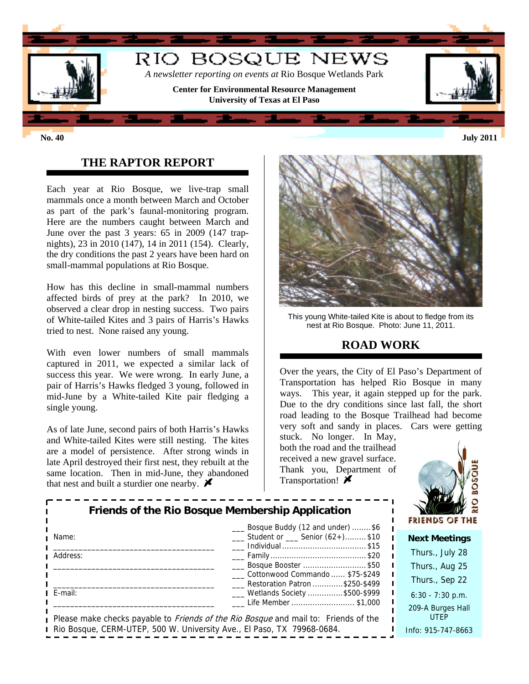

## **THE RAPTOR REPORT**

Each year at Rio Bosque, we live-trap small mammals once a month between March and October as part of the park's faunal-monitoring program. Here are the numbers caught between March and June over the past 3 years: 65 in 2009 (147 trapnights), 23 in 2010 (147), 14 in 2011 (154). Clearly, the dry conditions the past 2 years have been hard on small-mammal populations at Rio Bosque.

How has this decline in small-mammal numbers affected birds of prey at the park? In 2010, we observed a clear drop in nesting success. Two pairs of White-tailed Kites and 3 pairs of Harris's Hawks tried to nest. None raised any young.

With even lower numbers of small mammals captured in 2011, we expected a similar lack of success this year. We were wrong. In early June, a pair of Harris's Hawks fledged 3 young, followed in mid-June by a White-tailed Kite pair fledging a single young.

As of late June, second pairs of both Harris's Hawks and White-tailed Kites were still nesting. The kites are a model of persistence. After strong winds in late April destroyed their first nest, they rebuilt at the same location. Then in mid-June, they abandoned that nest and built a sturdier one nearby.  $\blacktriangleright$ 



This young White-tailed Kite is about to fledge from its nest at Rio Bosque. Photo: June 11, 2011.

# **ROAD WORK**

Over the years, the City of El Paso's Department of Transportation has helped Rio Bosque in many ways. This year, it again stepped up for the park. Due to the dry conditions since last fall, the short road leading to the Bosque Trailhead had become very soft and sandy in places. Cars were getting

stuck. No longer. In May, both the road and the trailhead received a new gravel surface. Thank you, Department of Transportation!  $\blacktriangleright$ 



| Friends of the Rio Bosque Membership Application<br>Bosque Buddy (12 and under) \$6 |                                                                                                                   | <b>FRIENDS O</b>            |
|-------------------------------------------------------------------------------------|-------------------------------------------------------------------------------------------------------------------|-----------------------------|
| Name:                                                                               | $\frac{1}{1}$ Student or $\frac{1}{1}$ Senior (62+)\$10                                                           | <b>Next Meet</b>            |
| Address:                                                                            |                                                                                                                   | Thurs., July                |
|                                                                                     | Bosque Booster \$50                                                                                               | Thurs., Aug                 |
|                                                                                     | Cottonwood Commando  \$75-\$249<br>Restoration Patron \$250-\$499                                                 | Thurs., Sep                 |
| E-mail:                                                                             | ___ Wetlands Society \$500-\$999                                                                                  | $6:30 - 7:30$               |
|                                                                                     | Life Member \$1,000<br>Please make checks payable to <i>Friends of the Rio Bosque</i> and mail to: Friends of the | 209-A Burges<br><b>UTEP</b> |
| Rio Bosque, CERM-UTEP, 500 W. University Ave., El Paso, TX 79968-0684.              | Info: 915-747                                                                                                     |                             |

 $\sqrt{28}$  $125$  $522$  $p.m.$ s Hall  $-8663$ 

#### **ings**